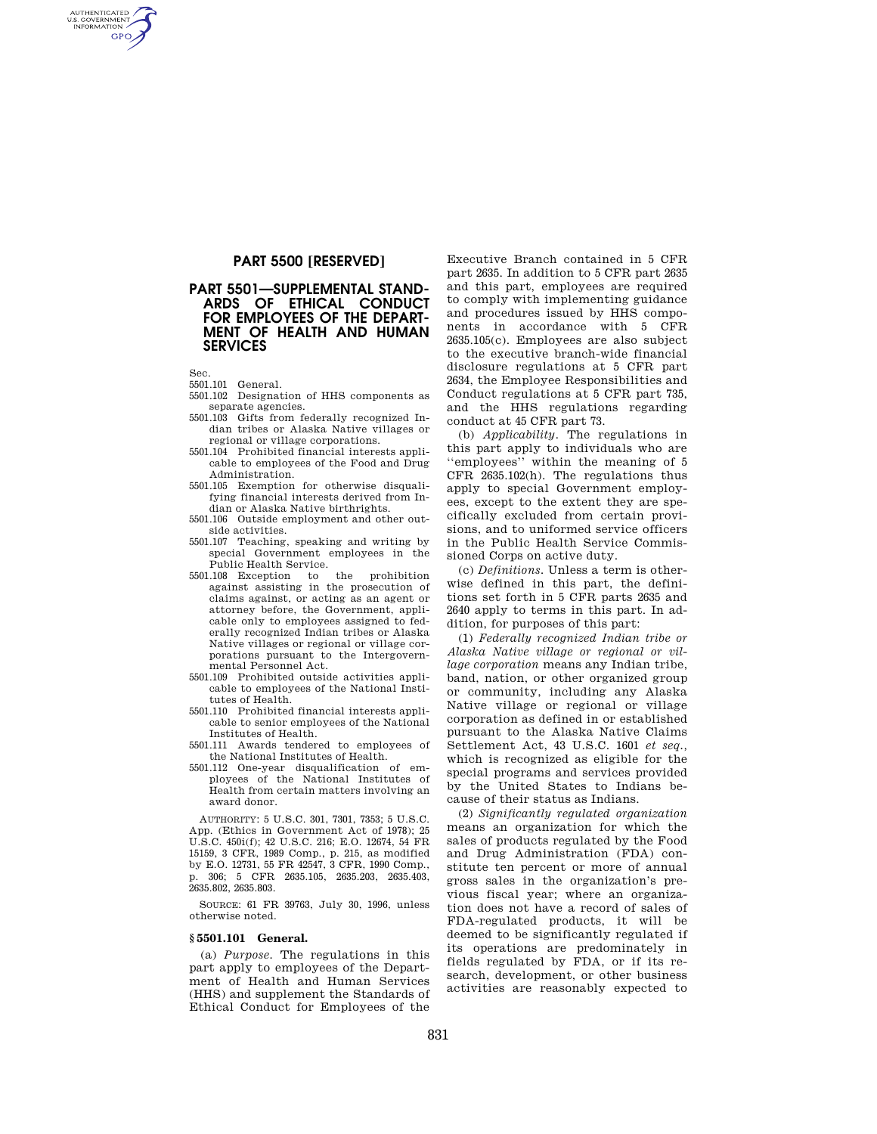# **PART 5500 [RESERVED]**

## **PART 5501—SUPPLEMENTAL STAND-ARDS OF ETHICAL CONDUCT FOR EMPLOYEES OF THE DEPART-MENT OF HEALTH AND HUMAN SERVICES**

Sec.

AUTHENTICATED<br>U.S. GOVERNMENT<br>INFORMATION **GPO** 

- 5501.101 General.
- 5501.102 Designation of HHS components as separate agencies.
- 5501.103 Gifts from federally recognized Indian tribes or Alaska Native villages or regional or village corporations.
- 5501.104 Prohibited financial interests applicable to employees of the Food and Drug Administration.
- 5501.105 Exemption for otherwise disqualifying financial interests derived from Indian or Alaska Native birthrights.
- 5501.106 Outside employment and other outside activities.
- 5501.107 Teaching, speaking and writing by special Government employees in the Public Health Service.<br>108 Exception to the
- 5501.108 Exception to the prohibition against assisting in the prosecution of claims against, or acting as an agent or attorney before, the Government, applicable only to employees assigned to federally recognized Indian tribes or Alaska Native villages or regional or village corporations pursuant to the Intergovernmental Personnel Act.
- 5501.109 Prohibited outside activities applicable to employees of the National Institutes of Health.
- 5501.110 Prohibited financial interests applicable to senior employees of the National Institutes of Health.
- 5501.111 Awards tendered to employees of the National Institutes of Health.
- $5501.112$  One-year disqualification of ployees of the National Institutes of Health from certain matters involving an award donor.

AUTHORITY: 5 U.S.C. 301, 7301, 7353; 5 U.S.C. App. (Ethics in Government Act of 1978); 25 U.S.C. 450i(f); 42 U.S.C. 216; E.O. 12674, 54 FR 15159, 3 CFR, 1989 Comp., p. 215, as modified by E.O. 12731, 55 FR 42547, 3 CFR, 1990 Comp., p. 306; 5 CFR 2635.105, 2635.203, 2635.403, 2635.802, 2635.803.

SOURCE: 61 FR 39763, July 30, 1996, unless otherwise noted.

#### **§ 5501.101 General.**

(a) *Purpose.* The regulations in this part apply to employees of the Department of Health and Human Services (HHS) and supplement the Standards of Ethical Conduct for Employees of the

Executive Branch contained in 5 CFR part 2635. In addition to 5 CFR part 2635 and this part, employees are required to comply with implementing guidance and procedures issued by HHS components in accordance with 5 CFR 2635.105(c). Employees are also subject to the executive branch-wide financial disclosure regulations at 5 CFR part 2634, the Employee Responsibilities and Conduct regulations at 5 CFR part 735, and the HHS regulations regarding conduct at 45 CFR part 73.

(b) *Applicability.* The regulations in this part apply to individuals who are ''employees'' within the meaning of 5 CFR 2635.102(h). The regulations thus apply to special Government employees, except to the extent they are specifically excluded from certain provisions, and to uniformed service officers in the Public Health Service Commissioned Corps on active duty.

(c) *Definitions.* Unless a term is otherwise defined in this part, the definitions set forth in 5 CFR parts 2635 and 2640 apply to terms in this part. In addition, for purposes of this part:

(1) *Federally recognized Indian tribe or Alaska Native village or regional or village corporation* means any Indian tribe, band, nation, or other organized group or community, including any Alaska Native village or regional or village corporation as defined in or established pursuant to the Alaska Native Claims Settlement Act, 43 U.S.C. 1601 *et seq.,*  which is recognized as eligible for the special programs and services provided by the United States to Indians because of their status as Indians.

(2) *Significantly regulated organization*  means an organization for which the sales of products regulated by the Food and Drug Administration (FDA) constitute ten percent or more of annual gross sales in the organization's previous fiscal year; where an organization does not have a record of sales of FDA-regulated products, it will be deemed to be significantly regulated if its operations are predominately in fields regulated by FDA, or if its research, development, or other business activities are reasonably expected to